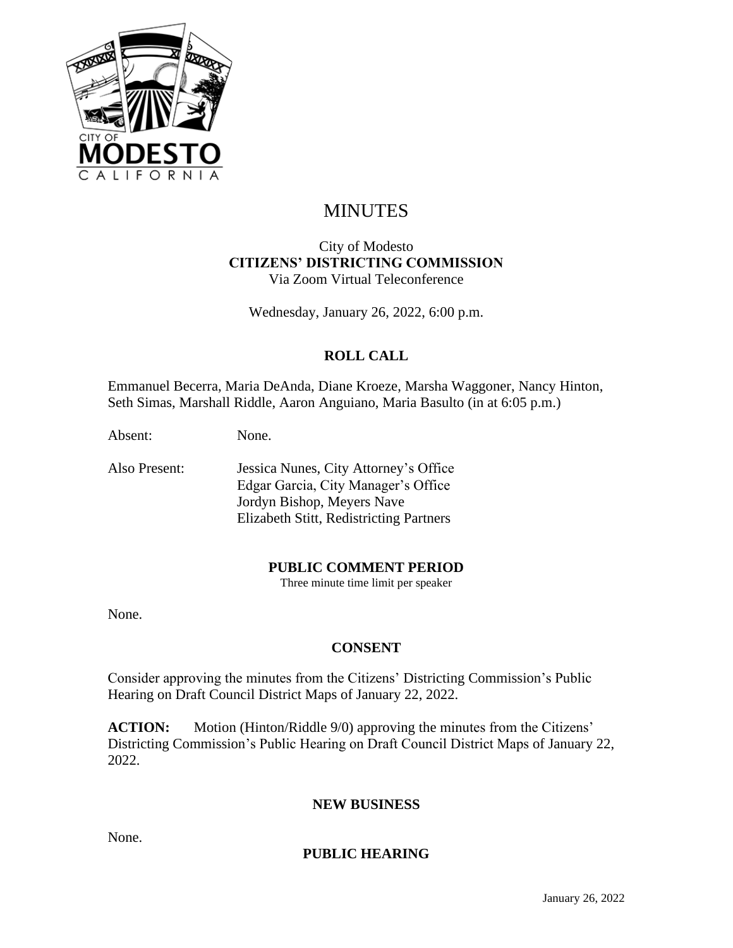

# MINUTES

#### City of Modesto **CITIZENS' DISTRICTING COMMISSION** Via Zoom Virtual Teleconference

Wednesday, January 26, 2022, 6:00 p.m.

## **ROLL CALL**

Emmanuel Becerra, Maria DeAnda, Diane Kroeze, Marsha Waggoner, Nancy Hinton, Seth Simas, Marshall Riddle, Aaron Anguiano, Maria Basulto (in at 6:05 p.m.)

Absent: None.

Also Present: Jessica Nunes, City Attorney's Office Edgar Garcia, City Manager's Office Jordyn Bishop, Meyers Nave Elizabeth Stitt, Redistricting Partners

#### **PUBLIC COMMENT PERIOD**

Three minute time limit per speaker

None.

## **CONSENT**

Consider approving the minutes from the Citizens' Districting Commission's Public Hearing on Draft Council District Maps of January 22, 2022.

**ACTION:** Motion (Hinton/Riddle 9/0) approving the minutes from the Citizens' Districting Commission's Public Hearing on Draft Council District Maps of January 22, 2022.

#### **NEW BUSINESS**

None.

#### **PUBLIC HEARING**